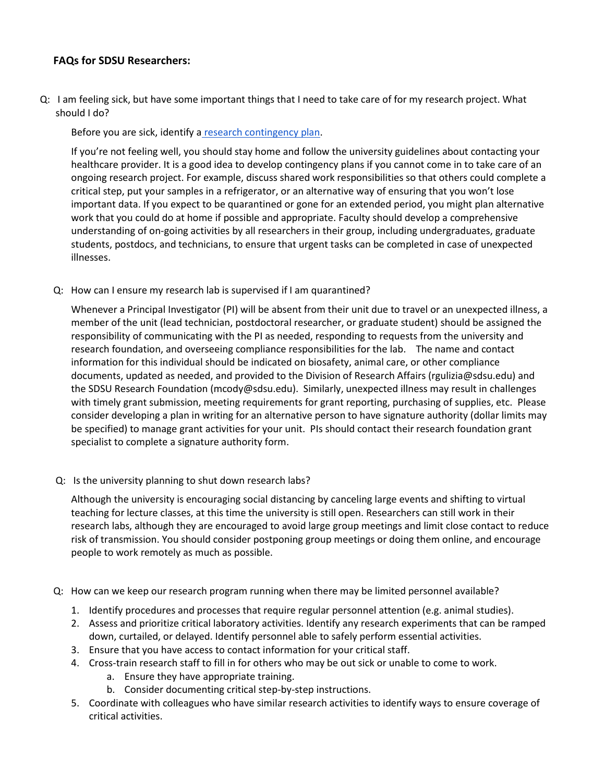## **FAQs for SDSU Researchers:**

Q: I am feeling sick, but have some important things that I need to take care of for my research project. What should I do?

Before you are sick, identify a [research contingency plan.](https://drive.google.com/a/mail.sdsu.edu/file/d/1IXefrUGanWZPDAcr6BThisxPyROi_HEH/view?usp=sharing)

If you're not feeling well, you should stay home and follow the university guidelines about contacting your healthcare provider. It is a good idea to develop contingency plans if you cannot come in to take care of an ongoing research project. For example, discuss shared work responsibilities so that others could complete a critical step, put your samples in a refrigerator, or an alternative way of ensuring that you won't lose important data. If you expect to be quarantined or gone for an extended period, you might plan alternative work that you could do at home if possible and appropriate. Faculty should develop a comprehensive understanding of on-going activities by all researchers in their group, including undergraduates, graduate students, postdocs, and technicians, to ensure that urgent tasks can be completed in case of unexpected illnesses.

Q: How can I ensure my research lab is supervised if I am quarantined?

Whenever a Principal Investigator (PI) will be absent from their unit due to travel or an unexpected illness, a member of the unit (lead technician, postdoctoral researcher, or graduate student) should be assigned the responsibility of communicating with the PI as needed, responding to requests from the university and research foundation, and overseeing compliance responsibilities for the lab. The name and contact information for this individual should be indicated on biosafety, animal care, or other compliance documents, updated as needed, and provided to the Division of Research Affairs (rgulizia@sdsu.edu) and the SDSU Research Foundation (mcody@sdsu.edu). Similarly, unexpected illness may result in challenges with timely grant submission, meeting requirements for grant reporting, purchasing of supplies, etc. Please consider developing a plan in writing for an alternative person to have signature authority (dollar limits may be specified) to manage grant activities for your unit. PIs should contact their research foundation grant specialist to complete a signature authority form.

Q: Is the university planning to shut down research labs?

Although the university is encouraging social distancing by canceling large events and shifting to virtual teaching for lecture classes, at this time the university is still open. Researchers can still work in their research labs, although they are encouraged to avoid large group meetings and limit close contact to reduce risk of transmission. You should consider postponing group meetings or doing them online, and encourage people to work remotely as much as possible.

- Q: How can we keep our research program running when there may be limited personnel available?
	- 1. Identify procedures and processes that require regular personnel attention (e.g. animal studies).
	- 2. Assess and prioritize critical laboratory activities. Identify any research experiments that can be ramped down, curtailed, or delayed. Identify personnel able to safely perform essential activities.
	- 3. Ensure that you have access to contact information for your critical staff.
	- 4. Cross-train research staff to fill in for others who may be out sick or unable to come to work.
		- a. Ensure they have appropriate training.
		- b. Consider documenting critical step-by-step instructions.
	- 5. Coordinate with colleagues who have similar research activities to identify ways to ensure coverage of critical activities.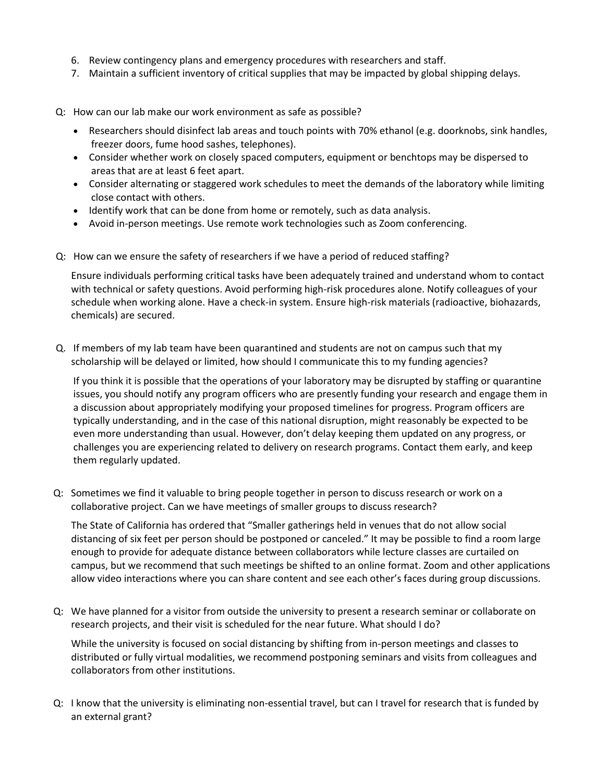- 6. Review contingency plans and emergency procedures with researchers and staff.
- 7. Maintain a sufficient inventory of critical supplies that may be impacted by global shipping delays.
- Q: How can our lab make our work environment as safe as possible?
	- Researchers should disinfect lab areas and touch points with 70% ethanol (e.g. doorknobs, sink handles, freezer doors, fume hood sashes, telephones).
	- Consider whether work on closely spaced computers, equipment or benchtops may be dispersed to areas that are at least 6 feet apart.
	- Consider alternating or staggered work schedules to meet the demands of the laboratory while limiting close contact with others.
	- Identify work that can be done from home or remotely, such as data analysis.
	- Avoid in-person meetings. Use remote work technologies such as Zoom conferencing.
- Q: How can we ensure the safety of researchers if we have a period of reduced staffing?

Ensure individuals performing critical tasks have been adequately trained and understand whom to contact with technical or safety questions. Avoid performing high-risk procedures alone. Notify colleagues of your schedule when working alone. Have a check-in system. Ensure high-risk materials (radioactive, biohazards, chemicals) are secured.

Q. If members of my lab team have been quarantined and students are not on campus such that my scholarship will be delayed or limited, how should I communicate this to my funding agencies?

If you think it is possible that the operations of your laboratory may be disrupted by staffing or quarantine issues, you should notify any program officers who are presently funding your research and engage them in a discussion about appropriately modifying your proposed timelines for progress. Program officers are typically understanding, and in the case of this national disruption, might reasonably be expected to be even more understanding than usual. However, don't delay keeping them updated on any progress, or challenges you are experiencing related to delivery on research programs. Contact them early, and keep them regularly updated.

Q: Sometimes we find it valuable to bring people together in person to discuss research or work on a collaborative project. Can we have meetings of smaller groups to discuss research?

The State of California has ordered that "Smaller gatherings held in venues that do not allow social distancing of six feet per person should be postponed or canceled." It may be possible to find a room large enough to provide for adequate distance between collaborators while lecture classes are curtailed on campus, but we recommend that such meetings be shifted to an online format. Zoom and other applications allow video interactions where you can share content and see each other's faces during group discussions.

Q: We have planned for a visitor from outside the university to present a research seminar or collaborate on research projects, and their visit is scheduled for the near future. What should I do?

While the university is focused on social distancing by shifting from in-person meetings and classes to distributed or fully virtual modalities, we recommend postponing seminars and visits from colleagues and collaborators from other institutions.

Q: I know that the university is eliminating non-essential travel, but can I travel for research that is funded by an external grant?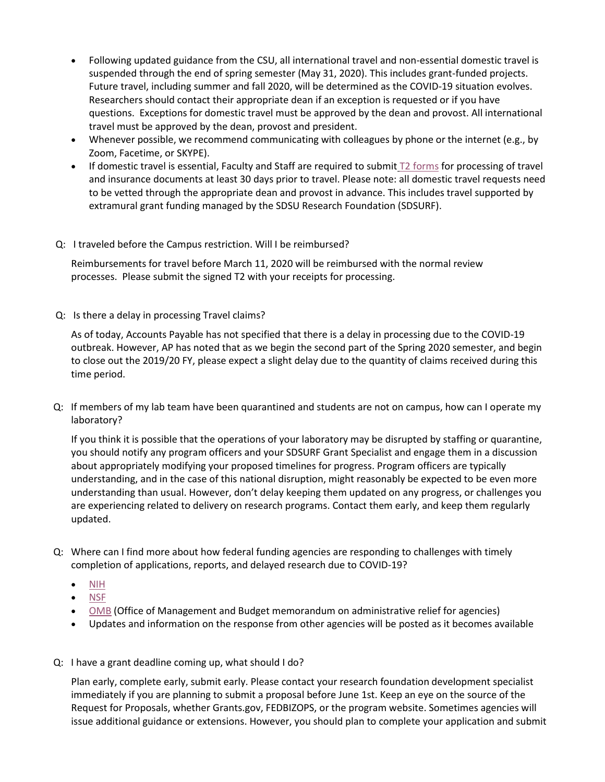- Following updated guidance from the CSU, all international travel and non-essential domestic travel is suspended through the end of spring semester (May 31, 2020). This includes grant-funded projects. Future travel, including summer and fall 2020, will be determined as the COVID-19 situation evolves. Researchers should contact their appropriate dean if an exception is requested or if you have questions. Exceptions for domestic travel must be approved by the dean and provost. All international travel must be approved by the dean, provost and president.
- Whenever possible, we recommend communicating with colleagues by phone or the internet (e.g., by Zoom, Facetime, or SKYPE).
- If domestic travel is essential, Faculty and Staff are required to submit [T2 forms](https://bfa.sdsu.edu/safety/riskmanagement/off-campus-activities/foreign-travel.aspx) for processing of travel and insurance documents at least 30 days prior to travel. Please note: all domestic travel requests need to be vetted through the appropriate dean and provost in advance. This includes travel supported by extramural grant funding managed by the SDSU Research Foundation (SDSURF).

## Q: I traveled before the Campus restriction. Will I be reimbursed?

Reimbursements for travel before March 11, 2020 will be reimbursed with the normal review processes. Please submit the signed T2 with your receipts for processing.

Q: Is there a delay in processing Travel claims?

As of today, Accounts Payable has not specified that there is a delay in processing due to the COVID-19 outbreak. However, AP has noted that as we begin the second part of the Spring 2020 semester, and begin to close out the 2019/20 FY, please expect a slight delay due to the quantity of claims received during this time period.

Q: If members of my lab team have been quarantined and students are not on campus, how can I operate my laboratory?

If you think it is possible that the operations of your laboratory may be disrupted by staffing or quarantine, you should notify any program officers and your SDSURF Grant Specialist and engage them in a discussion about appropriately modifying your proposed timelines for progress. Program officers are typically understanding, and in the case of this national disruption, might reasonably be expected to be even more understanding than usual. However, don't delay keeping them updated on any progress, or challenges you are experiencing related to delivery on research programs. Contact them early, and keep them regularly updated.

- Q: Where can I find more about how federal funding agencies are responding to challenges with timely completion of applications, reports, and delayed research due to COVID-19?
	- [NIH](https://nexus.od.nih.gov/all/2020/03/11/nih-late-application-policy-and-faqs-related-to-2019-novel-coronavirus-covid-19/)
	- [NSF](https://www.nsf.gov/pubs/2020/nsf20053/nsf20053.jsp)
	- [OMB](https://www.cogr.edu/sites/default/files/M-20-11.pdf) (Office of Management and Budget memorandum on administrative relief for agencies)
	- Updates and information on the response from other agencies will be posted as it becomes available
- Q: I have a grant deadline coming up, what should I do?

Plan early, complete early, submit early. Please contact your research foundation development specialist immediately if you are planning to submit a proposal before June 1st. Keep an eye on the source of the Request for Proposals, whether Grants.gov, FEDBIZOPS, or the program website. Sometimes agencies will issue additional guidance or extensions. However, you should plan to complete your application and submit